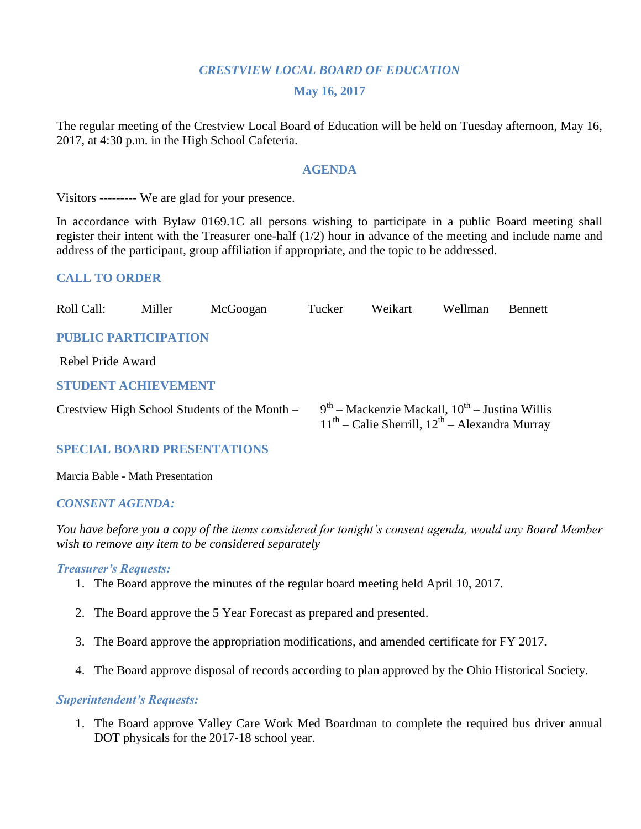### *CRESTVIEW LOCAL BOARD OF EDUCATION*

#### **May 16, 2017**

The regular meeting of the Crestview Local Board of Education will be held on Tuesday afternoon, May 16, 2017, at 4:30 p.m. in the High School Cafeteria.

#### **AGENDA**

Visitors --------- We are glad for your presence.

In accordance with Bylaw 0169.1C all persons wishing to participate in a public Board meeting shall register their intent with the Treasurer one-half (1/2) hour in advance of the meeting and include name and address of the participant, group affiliation if appropriate, and the topic to be addressed.

### **CALL TO ORDER**

| Roll Call:                  | Miller            | McGoogan                                      | Tucker | Weikart                                                                                                  | Wellman | <b>Bennett</b> |  |
|-----------------------------|-------------------|-----------------------------------------------|--------|----------------------------------------------------------------------------------------------------------|---------|----------------|--|
| <b>PUBLIC PARTICIPATION</b> |                   |                                               |        |                                                                                                          |         |                |  |
|                             | Rebel Pride Award |                                               |        |                                                                                                          |         |                |  |
| <b>STUDENT ACHIEVEMENT</b>  |                   |                                               |        |                                                                                                          |         |                |  |
|                             |                   | Crestview High School Students of the Month – |        | $9th$ – Mackenzie Mackall, $10th$ – Justina Willis<br>$11th$ – Calie Sherrill, $12th$ – Alexandra Murray |         |                |  |

### **SPECIAL BOARD PRESENTATIONS**

Marcia Bable - Math Presentation

### *CONSENT AGENDA:*

*You have before you a copy of the items considered for tonight's consent agenda, would any Board Member wish to remove any item to be considered separately*

#### *Treasurer's Requests:*

- 1. The Board approve the minutes of the regular board meeting held April 10, 2017.
- 2. The Board approve the 5 Year Forecast as prepared and presented.
- 3. The Board approve the appropriation modifications, and amended certificate for FY 2017.
- 4. The Board approve disposal of records according to plan approved by the Ohio Historical Society.

#### *Superintendent's Requests:*

1. The Board approve Valley Care Work Med Boardman to complete the required bus driver annual DOT physicals for the 2017-18 school year.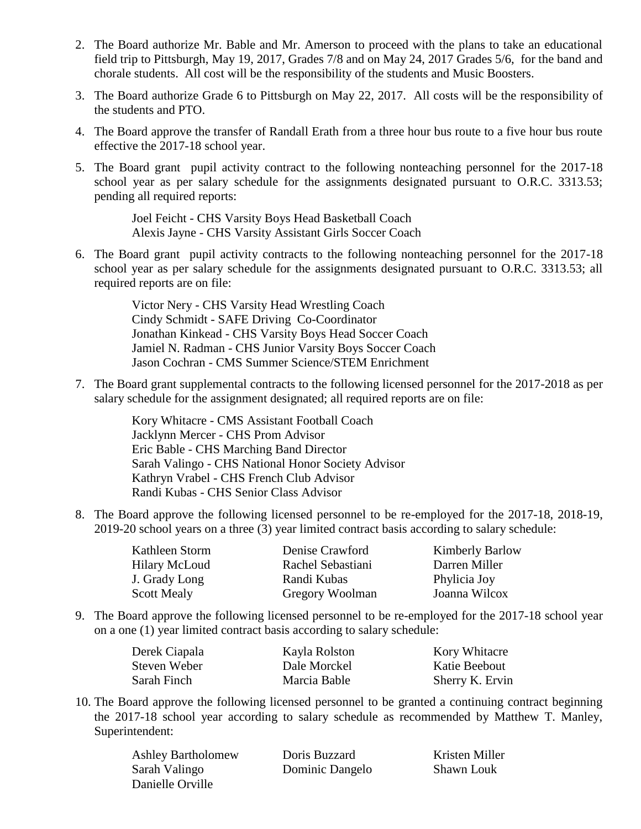- 2. The Board authorize Mr. Bable and Mr. Amerson to proceed with the plans to take an educational field trip to Pittsburgh, May 19, 2017, Grades 7/8 and on May 24, 2017 Grades 5/6, for the band and chorale students. All cost will be the responsibility of the students and Music Boosters.
- 3. The Board authorize Grade 6 to Pittsburgh on May 22, 2017. All costs will be the responsibility of the students and PTO.
- 4. The Board approve the transfer of Randall Erath from a three hour bus route to a five hour bus route effective the 2017-18 school year.
- 5. The Board grant pupil activity contract to the following nonteaching personnel for the 2017-18 school year as per salary schedule for the assignments designated pursuant to O.R.C. 3313.53; pending all required reports:

Joel Feicht - CHS Varsity Boys Head Basketball Coach Alexis Jayne - CHS Varsity Assistant Girls Soccer Coach

6. The Board grant pupil activity contracts to the following nonteaching personnel for the 2017-18 school year as per salary schedule for the assignments designated pursuant to O.R.C. 3313.53; all required reports are on file:

> Victor Nery - CHS Varsity Head Wrestling Coach Cindy Schmidt - SAFE Driving Co-Coordinator Jonathan Kinkead - CHS Varsity Boys Head Soccer Coach Jamiel N. Radman - CHS Junior Varsity Boys Soccer Coach Jason Cochran - CMS Summer Science/STEM Enrichment

7. The Board grant supplemental contracts to the following licensed personnel for the 2017-2018 as per salary schedule for the assignment designated; all required reports are on file:

> Kory Whitacre - CMS Assistant Football Coach Jacklynn Mercer - CHS Prom Advisor Eric Bable - CHS Marching Band Director Sarah Valingo - CHS National Honor Society Advisor Kathryn Vrabel - CHS French Club Advisor Randi Kubas - CHS Senior Class Advisor

8. The Board approve the following licensed personnel to be re-employed for the 2017-18, 2018-19, 2019-20 school years on a three (3) year limited contract basis according to salary schedule:

| Kathleen Storm       | Denise Crawford   | <b>Kimberly Barlow</b> |
|----------------------|-------------------|------------------------|
| <b>Hilary McLoud</b> | Rachel Sebastiani | Darren Miller          |
| J. Grady Long        | Randi Kubas       | Phylicia Joy           |
| <b>Scott Mealy</b>   | Gregory Woolman   | Joanna Wilcox          |

9. The Board approve the following licensed personnel to be re-employed for the 2017-18 school year on a one (1) year limited contract basis according to salary schedule:

| Derek Ciapala | Kayla Rolston | <b>Kory Whitacre</b> |
|---------------|---------------|----------------------|
| Steven Weber  | Dale Morckel  | Katie Beebout        |
| Sarah Finch   | Marcia Bable  | Sherry K. Ervin      |

10. The Board approve the following licensed personnel to be granted a continuing contract beginning the 2017-18 school year according to salary schedule as recommended by Matthew T. Manley, Superintendent:

| <b>Ashley Bartholomew</b> | Doris Buzzard   | Kristen Miller    |
|---------------------------|-----------------|-------------------|
| Sarah Valingo             | Dominic Dangelo | <b>Shawn Louk</b> |
| Danielle Orville          |                 |                   |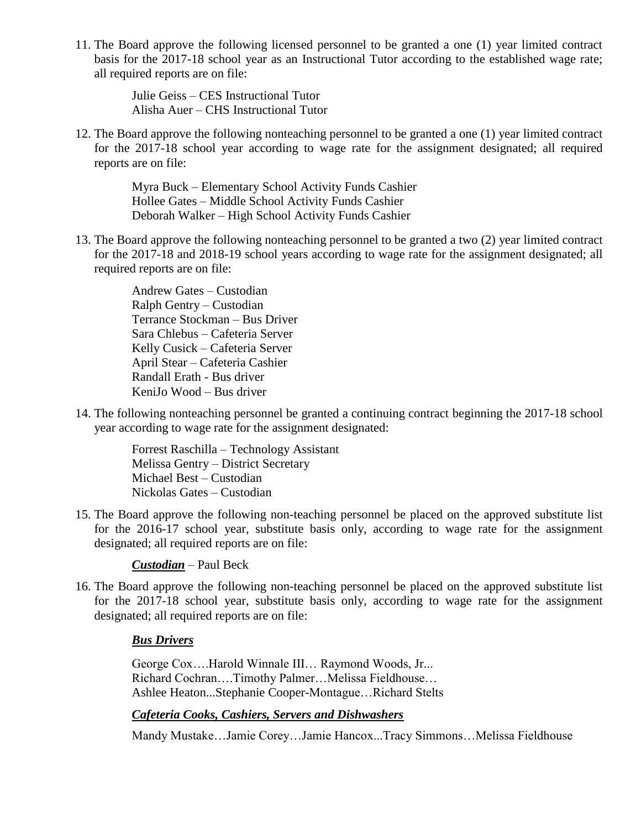11. The Board approve the following licensed personnel to be granted a one (1) year limited contract basis for the 2017-18 school year as an Instructional Tutor according to the established wage rate; all required reports are on file:

> Julie Geiss – CES Instructional Tutor Alisha Auer – CHS Instructional Tutor

12. The Board approve the following nonteaching personnel to be granted a one (1) year limited contract for the 2017-18 school year according to wage rate for the assignment designated; all required reports are on file:

> Myra Buck – Elementary School Activity Funds Cashier Hollee Gates – Middle School Activity Funds Cashier Deborah Walker – High School Activity Funds Cashier

13. The Board approve the following nonteaching personnel to be granted a two (2) year limited contract for the 2017-18 and 2018-19 school years according to wage rate for the assignment designated; all required reports are on file:

> Andrew Gates – Custodian Ralph Gentry – Custodian Terrance Stockman – Bus Driver Sara Chlebus – Cafeteria Server Kelly Cusick – Cafeteria Server April Stear – Cafeteria Cashier Randall Erath - Bus driver KeniJo Wood – Bus driver

14. The following nonteaching personnel be granted a continuing contract beginning the 2017-18 school year according to wage rate for the assignment designated:

> Forrest Raschilla – Technology Assistant Melissa Gentry – District Secretary Michael Best – Custodian Nickolas Gates – Custodian

15. The Board approve the following non-teaching personnel be placed on the approved substitute list for the 2016-17 school year, substitute basis only, according to wage rate for the assignment designated; all required reports are on file:

*Custodian* – Paul Beck

16. The Board approve the following non-teaching personnel be placed on the approved substitute list for the 2017-18 school year, substitute basis only, according to wage rate for the assignment designated; all required reports are on file:

# *Bus Drivers*

George Cox….Harold Winnale III… Raymond Woods, Jr... Richard Cochran….Timothy Palmer…Melissa Fieldhouse… Ashlee Heaton...Stephanie Cooper-Montague…Richard Stelts

# *Cafeteria Cooks, Cashiers, Servers and Dishwashers*

Mandy Mustake…Jamie Corey…Jamie Hancox...Tracy Simmons…Melissa Fieldhouse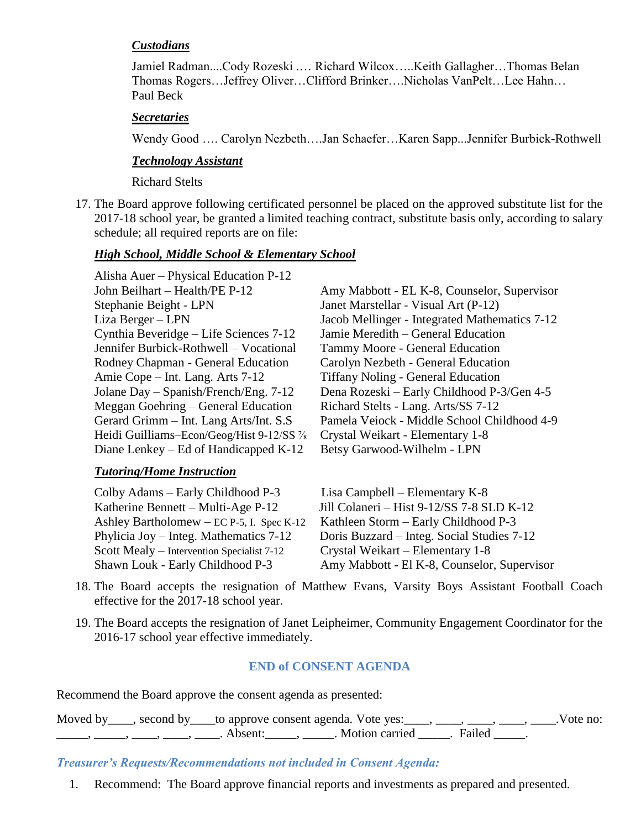# *Custodians*

Jamiel Radman....Cody Rozeski .… Richard Wilcox…..Keith Gallagher…Thomas Belan Thomas Rogers…Jeffrey Oliver…Clifford Brinker….Nicholas VanPelt…Lee Hahn… Paul Beck

### *Secretaries*

Wendy Good …. Carolyn Nezbeth….Jan Schaefer…Karen Sapp...Jennifer Burbick-Rothwell

# *Technology Assistant*

Richard Stelts

17. The Board approve following certificated personnel be placed on the approved substitute list for the 2017-18 school year, be granted a limited teaching contract, substitute basis only, according to salary schedule; all required reports are on file:

# *High School, Middle School & Elementary School*

Alisha Auer – Physical Education P-12 Stephanie Beight - LPN Janet Marstellar - Visual Art (P-12) Cynthia Beveridge – Life Sciences 7-12 Jamie Meredith – General Education Jennifer Burbick-Rothwell – Vocational Tammy Moore - General Education Rodney Chapman - General Education Carolyn Nezbeth - General Education Amie Cope – Int. Lang. Arts 7-12 Tiffany Noling - General Education Meggan Goehring – General Education Richard Stelts - Lang. Arts/SS 7-12 Heidi Guilliams–Econ/Geog/Hist 9-12/SS % Crystal Weikart - Elementary 1-8 Diane Lenkey – Ed of Handicapped K-12 Betsy Garwood-Wilhelm - LPN

# *Tutoring/Home Instruction*

Colby Adams – Early Childhood P-3 Lisa Campbell – Elementary K-8 Ashley Bartholomew – EC P-5, I. Spec K-12 Kathleen Storm – Early Childhood P-3 Scott Mealy – Intervention Specialist 7-12 Crystal Weikart – Elementary 1-8

John Beilhart – Health/PE P-12 Amy Mabbott - EL K-8, Counselor, Supervisor Liza Berger – LPN Jacob Mellinger - Integrated Mathematics 7-12 Jolane Day – Spanish/French/Eng. 7-12 Dena Rozeski – Early Childhood P-3/Gen 4-5 Gerard Grimm – Int. Lang Arts/Int. S.S Pamela Veiock - Middle School Childhood 4-9

Katherine Bennett – Multi-Age P-12 Jill Colaneri – Hist 9-12/SS 7-8 SLD K-12 Phylicia Joy – Integ. Mathematics 7-12 Doris Buzzard – Integ. Social Studies 7-12 Shawn Louk - Early Childhood P-3 Amy Mabbott - El K-8, Counselor, Supervisor

- 18. The Board accepts the resignation of Matthew Evans, Varsity Boys Assistant Football Coach effective for the 2017-18 school year.
- 19. The Board accepts the resignation of Janet Leipheimer, Community Engagement Coordinator for the 2016-17 school year effective immediately.

# **END of CONSENT AGENDA**

Recommend the Board approve the consent agenda as presented:

Moved by \_\_\_, second by \_\_\_to approve consent agenda. Vote yes: \_\_\_, \_\_\_, \_\_\_, \_\_\_, \_\_\_, \_\_\_.Vote no:  $\frac{1}{\sqrt{2}}$ ,  $\frac{1}{\sqrt{2}}$ ,  $\frac{1}{\sqrt{2}}$ ,  $\frac{1}{\sqrt{2}}$ ,  $\frac{1}{\sqrt{2}}$ ,  $\frac{1}{\sqrt{2}}$ ,  $\frac{1}{\sqrt{2}}$ ,  $\frac{1}{\sqrt{2}}$ ,  $\frac{1}{\sqrt{2}}$ ,  $\frac{1}{\sqrt{2}}$ ,  $\frac{1}{\sqrt{2}}$ ,  $\frac{1}{\sqrt{2}}$ ,  $\frac{1}{\sqrt{2}}$ ,  $\frac{1}{\sqrt{2}}$ ,  $\frac{1}{\sqrt{2}}$ ,  $\frac{1}{\sqrt{2}}$ 

*Treasurer's Requests/Recommendations not included in Consent Agenda:*

1. Recommend: The Board approve financial reports and investments as prepared and presented.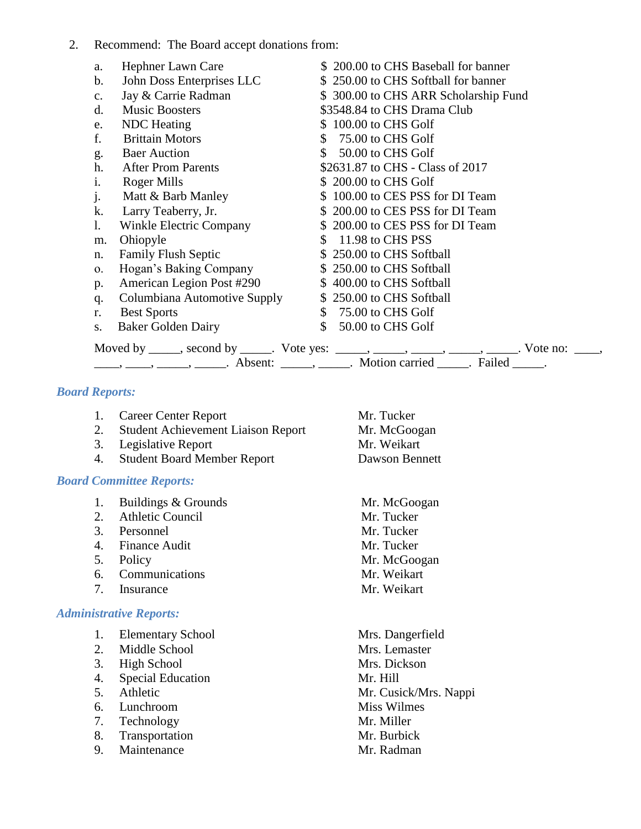### 2. Recommend: The Board accept donations from:

| a.             | Hephner Lawn Care            | \$200.00 to CHS Baseball for banner                                                                                                                                     |
|----------------|------------------------------|-------------------------------------------------------------------------------------------------------------------------------------------------------------------------|
| $\mathbf{b}$ . | John Doss Enterprises LLC    | \$250.00 to CHS Softball for banner                                                                                                                                     |
| c.             | Jay & Carrie Radman          | \$300.00 to CHS ARR Scholarship Fund                                                                                                                                    |
| d.             | <b>Music Boosters</b>        | \$3548.84 to CHS Drama Club                                                                                                                                             |
| e.             | <b>NDC</b> Heating           | \$100.00 to CHS Golf                                                                                                                                                    |
| f.             | <b>Brittain Motors</b>       | 75.00 to CHS Golf<br>$\mathbb{S}^-$                                                                                                                                     |
| g.             | <b>Baer Auction</b>          | 50.00 to CHS Golf<br>$\mathbb{S}^-$                                                                                                                                     |
| h.             | <b>After Prom Parents</b>    | \$2631.87 to CHS - Class of 2017                                                                                                                                        |
| i.             | Roger Mills                  | \$200.00 to CHS Golf                                                                                                                                                    |
| $\mathbf{j}$ . | Matt & Barb Manley           | \$100.00 to CES PSS for DI Team                                                                                                                                         |
| k.             | Larry Teaberry, Jr.          | \$200.00 to CES PSS for DI Team                                                                                                                                         |
| $\mathbf{l}$ . | Winkle Electric Company      | \$200.00 to CES PSS for DI Team                                                                                                                                         |
| m.             | Ohiopyle                     | 11.98 to CHS PSS<br>$\mathbb{S}^-$                                                                                                                                      |
| n.             | <b>Family Flush Septic</b>   | \$250.00 to CHS Softball                                                                                                                                                |
| $\mathbf{O}$ . | Hogan's Baking Company       | \$250.00 to CHS Softball                                                                                                                                                |
| p.             | American Legion Post #290    | \$400.00 to CHS Softball                                                                                                                                                |
| q.             | Columbiana Automotive Supply | \$250.00 to CHS Softball                                                                                                                                                |
| r.             | <b>Best Sports</b>           | \$ 75.00 to CHS Golf                                                                                                                                                    |
| S.             | <b>Baker Golden Dairy</b>    | $\mathbb{S}$<br>50.00 to CHS Golf                                                                                                                                       |
|                |                              |                                                                                                                                                                         |
|                |                              | Moved by _____, second by _____. Vote yes: _____, _____, _____, _____, ______. Vote no: ____, _____, ______, Absent: _____, ______. Motion carried _____. Failed _____. |

### *Board Reports:*

- 1. Career Center Report Mr. Tucker
- 2. Student Achievement Liaison Report Mr. McGoogan
- 3. Legislative Report Mr. Weikart
- 4. Student Board Member Report Dawson Bennett

#### *Board Committee Reports:*

- 1. Buildings & Grounds Mr. McGoogan
- 2. Athletic Council Mr. Tucker
- 3. Personnel Mr. Tucker
- 4. Finance Audit Mr. Tucker
- 
- 6. Communications Mr. Weikart
- 7. Insurance Mr. Weikart

### *Administrative Reports:*

- 1. Elementary School Mrs. Dangerfield
- 2. Middle School Mrs. Lemaster
- 3. High School Mrs. Dickson
- 4. Special Education Mr. Hill
- 
- 6. Lunchroom Miss Wilmes
- 7. Technology Mr. Miller
- 8. Transportation Mr. Burbick
- 9. Maintenance Mr. Radman
- 
- 5. Policy Mr. McGoogan
- 5. Athletic Mr. Cusick/Mrs. Nappi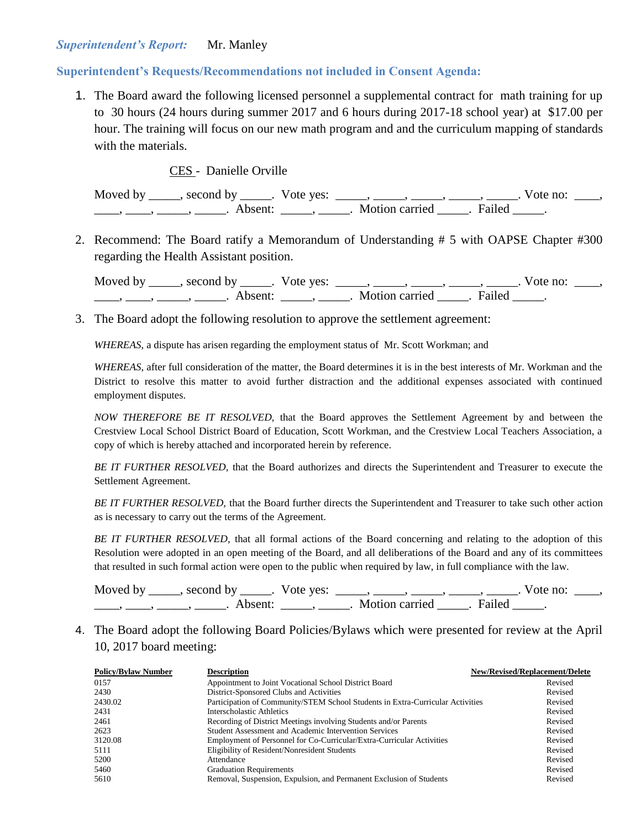### *Superintendent's Report:* Mr. Manley

#### **Superintendent's Requests/Recommendations not included in Consent Agenda:**

1. The Board award the following licensed personnel a supplemental contract for math training for up to 30 hours (24 hours during summer 2017 and 6 hours during 2017-18 school year) at \$17.00 per hour. The training will focus on our new math program and and the curriculum mapping of standards with the materials.

#### CES - Danielle Orville

Moved by \_\_\_\_\_, second by \_\_\_\_\_. Vote yes:  $\frac{1}{\sqrt{2}}$ , \_\_\_\_, \_\_\_\_, \_\_\_\_, \_\_\_\_. Vote no: \_\_\_, \_\_\_\_\_, \_\_\_\_\_\_, \_\_\_\_\_\_\_. Absent: \_\_\_\_\_\_, \_\_\_\_\_\_. Motion carried \_\_\_\_\_\_. Failed \_\_\_\_\_.

2. Recommend: The Board ratify a Memorandum of Understanding # 5 with OAPSE Chapter #300 regarding the Health Assistant position.

| Moved by | second by           | Vote yes: |                |        | vote no: |  |
|----------|---------------------|-----------|----------------|--------|----------|--|
|          | Absent <sup>.</sup> |           | Motion carried | Failed |          |  |

3. The Board adopt the following resolution to approve the settlement agreement:

*WHEREAS,* a dispute has arisen regarding the employment status of Mr. Scott Workman; and

*WHEREAS*, after full consideration of the matter, the Board determines it is in the best interests of Mr. Workman and the District to resolve this matter to avoid further distraction and the additional expenses associated with continued employment disputes.

*NOW THEREFORE BE IT RESOLVED,* that the Board approves the Settlement Agreement by and between the Crestview Local School District Board of Education, Scott Workman, and the Crestview Local Teachers Association, a copy of which is hereby attached and incorporated herein by reference.

*BE IT FURTHER RESOLVED,* that the Board authorizes and directs the Superintendent and Treasurer to execute the Settlement Agreement.

*BE IT FURTHER RESOLVED,* that the Board further directs the Superintendent and Treasurer to take such other action as is necessary to carry out the terms of the Agreement.

*BE IT FURTHER RESOLVED,* that all formal actions of the Board concerning and relating to the adoption of this Resolution were adopted in an open meeting of the Board, and all deliberations of the Board and any of its committees that resulted in such formal action were open to the public when required by law, in full compliance with the law.

Moved by \_\_\_\_\_, second by \_\_\_\_\_. Vote yes:  $\_\_\_\_\_\_\_\_\_\_\_\_\_\_\_\_\_\_\_$  \_\_\_\_, \_\_\_\_, \_\_\_\_. Vote no:  $\_\_\_\_\_\$ \_\_\_\_\_, \_\_\_\_\_\_, \_\_\_\_\_\_\_. Absent: \_\_\_\_\_\_, \_\_\_\_\_\_. Motion carried \_\_\_\_\_\_. Failed \_\_\_\_\_.

4. The Board adopt the following Board Policies/Bylaws which were presented for review at the April 10, 2017 board meeting:

| <b>Policy/Bylaw Number</b> | <b>Description</b>                                                             | New/Revised/Replacement/Delete |
|----------------------------|--------------------------------------------------------------------------------|--------------------------------|
| 0157                       | Appointment to Joint Vocational School District Board                          | Revised                        |
| 2430                       | District-Sponsored Clubs and Activities                                        | Revised                        |
| 2430.02                    | Participation of Community/STEM School Students in Extra-Curricular Activities | Revised                        |
| 2431                       | Interscholastic Athletics                                                      | Revised                        |
| 2461                       | Recording of District Meetings involving Students and/or Parents               | Revised                        |
| 2623                       | Student Assessment and Academic Intervention Services                          | Revised                        |
| 3120.08                    | Employment of Personnel for Co-Curricular/Extra-Curricular Activities          | Revised                        |
| 5111                       | Eligibility of Resident/Nonresident Students                                   | Revised                        |
| 5200                       | Attendance                                                                     | Revised                        |
| 5460                       | <b>Graduation Requirements</b>                                                 | Revised                        |
| 5610                       | Removal, Suspension, Expulsion, and Permanent Exclusion of Students            | Revised                        |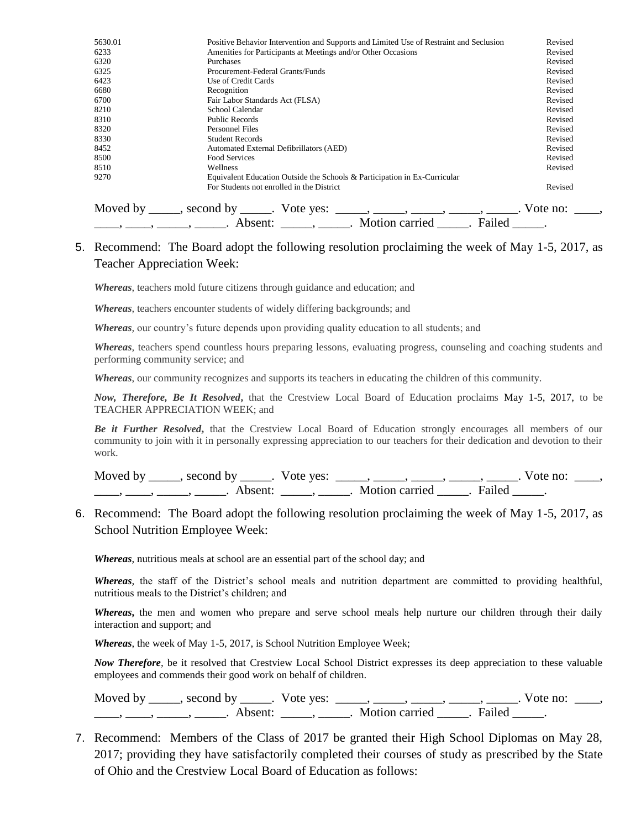| 5630.01 | Positive Behavior Intervention and Supports and Limited Use of Restraint and Seclusion                                                                                                                                                                                                                                                                                                                                                                                                                                                                                                                                                                                                        | Revised  |
|---------|-----------------------------------------------------------------------------------------------------------------------------------------------------------------------------------------------------------------------------------------------------------------------------------------------------------------------------------------------------------------------------------------------------------------------------------------------------------------------------------------------------------------------------------------------------------------------------------------------------------------------------------------------------------------------------------------------|----------|
| 6233    | Amenities for Participants at Meetings and/or Other Occasions                                                                                                                                                                                                                                                                                                                                                                                                                                                                                                                                                                                                                                 | Revised  |
| 6320    | Purchases                                                                                                                                                                                                                                                                                                                                                                                                                                                                                                                                                                                                                                                                                     | Revised  |
| 6325    | Procurement-Federal Grants/Funds                                                                                                                                                                                                                                                                                                                                                                                                                                                                                                                                                                                                                                                              | Revised  |
| 6423    | Use of Credit Cards                                                                                                                                                                                                                                                                                                                                                                                                                                                                                                                                                                                                                                                                           | Revised  |
| 6680    | Recognition                                                                                                                                                                                                                                                                                                                                                                                                                                                                                                                                                                                                                                                                                   | Revised  |
| 6700    | Fair Labor Standards Act (FLSA)                                                                                                                                                                                                                                                                                                                                                                                                                                                                                                                                                                                                                                                               | Revised  |
| 8210    | School Calendar                                                                                                                                                                                                                                                                                                                                                                                                                                                                                                                                                                                                                                                                               | Revised  |
| 8310    | <b>Public Records</b>                                                                                                                                                                                                                                                                                                                                                                                                                                                                                                                                                                                                                                                                         | Revised  |
| 8320    | Personnel Files                                                                                                                                                                                                                                                                                                                                                                                                                                                                                                                                                                                                                                                                               | Revised  |
| 8330    | <b>Student Records</b>                                                                                                                                                                                                                                                                                                                                                                                                                                                                                                                                                                                                                                                                        | Revised  |
| 8452    | Automated External Defibrillators (AED)                                                                                                                                                                                                                                                                                                                                                                                                                                                                                                                                                                                                                                                       | Revised  |
| 8500    | Food Services                                                                                                                                                                                                                                                                                                                                                                                                                                                                                                                                                                                                                                                                                 | Revised  |
| 8510    | Wellness                                                                                                                                                                                                                                                                                                                                                                                                                                                                                                                                                                                                                                                                                      | Revised  |
| 9270    | Equivalent Education Outside the Schools & Participation in Ex-Curricular                                                                                                                                                                                                                                                                                                                                                                                                                                                                                                                                                                                                                     |          |
|         | For Students not enrolled in the District                                                                                                                                                                                                                                                                                                                                                                                                                                                                                                                                                                                                                                                     | Revised  |
|         | Moved by ______, second by ______. Vote yes:<br>$\hspace{1.5cm} \longrightarrow \hspace{1.5cm} \longrightarrow \hspace{1.5cm} \longrightarrow \hspace{1.5cm} \longrightarrow \hspace{1.5cm} \longrightarrow \hspace{1.5cm} \longrightarrow \hspace{1.5cm} \longrightarrow \hspace{1.5cm} \longrightarrow \hspace{1.5cm} \longrightarrow \hspace{1.5cm} \longrightarrow \hspace{1.5cm} \longrightarrow \hspace{1.5cm} \longrightarrow \hspace{1.5cm} \longrightarrow \hspace{1.5cm} \longrightarrow \hspace{1.5cm} \longrightarrow \hspace{1.5cm} \longrightarrow \hspace{1.5cm} \longrightarrow \hspace{1.5cm} \longrightarrow \hspace{1.5cm} \longrightarrow \hspace{1.5cm} \longrightarrow$ | Vote no: |
|         | Motion carried<br>Failed<br>Absent:                                                                                                                                                                                                                                                                                                                                                                                                                                                                                                                                                                                                                                                           |          |

# 5. Recommend: The Board adopt the following resolution proclaiming the week of May 1-5, 2017, as Teacher Appreciation Week:

*Whereas*, teachers mold future citizens through guidance and education; and

*Whereas*, teachers encounter students of widely differing backgrounds; and

*Whereas,* our country's future depends upon providing quality education to all students; and

*Whereas,* teachers spend countless hours preparing lessons, evaluating progress, counseling and coaching students and performing community service; and

*Whereas*, our community recognizes and supports its teachers in educating the children of this community.

*Now, Therefore, Be It Resolved***,** that the Crestview Local Board of Education proclaims May 1-5, 2017, to be TEACHER APPRECIATION WEEK; and

*Be it Further Resolved***,** that the Crestview Local Board of Education strongly encourages all members of our community to join with it in personally expressing appreciation to our teachers for their dedication and devotion to their work.

| Moved by | second by           | Vote ves: |                |        | Vote no: |
|----------|---------------------|-----------|----------------|--------|----------|
|          | Absent <sup>.</sup> |           | Motion carried | Failed |          |

6. Recommend: The Board adopt the following resolution proclaiming the week of May 1-5, 2017, as School Nutrition Employee Week:

*Whereas*, nutritious meals at school are an essential part of the school day; and

*Whereas,* the staff of the District's school meals and nutrition department are committed to providing healthful, nutritious meals to the District's children; and

*Whereas***,** the men and women who prepare and serve school meals help nurture our children through their daily interaction and support; and

*Whereas*, the week of May 1-5, 2017, is School Nutrition Employee Week;

*Now Therefore,* be it resolved that Crestview Local School District expresses its deep appreciation to these valuable employees and commends their good work on behalf of children.

Moved by \_\_\_\_\_, second by \_\_\_\_\_. Vote yes:  $\_\_\_\_\_\_\_\_\_\_\_\_\_\_\_$  \_\_\_\_, \_\_\_\_, \_\_\_\_. Vote no:  $\_\_\_\_\_\$ \_\_\_\_\_, \_\_\_\_\_\_, \_\_\_\_\_\_\_. Absent: \_\_\_\_\_\_, \_\_\_\_\_\_. Motion carried \_\_\_\_\_\_. Failed \_\_\_\_\_.

7. Recommend: Members of the Class of 2017 be granted their High School Diplomas on May 28, 2017; providing they have satisfactorily completed their courses of study as prescribed by the State of Ohio and the Crestview Local Board of Education as follows: